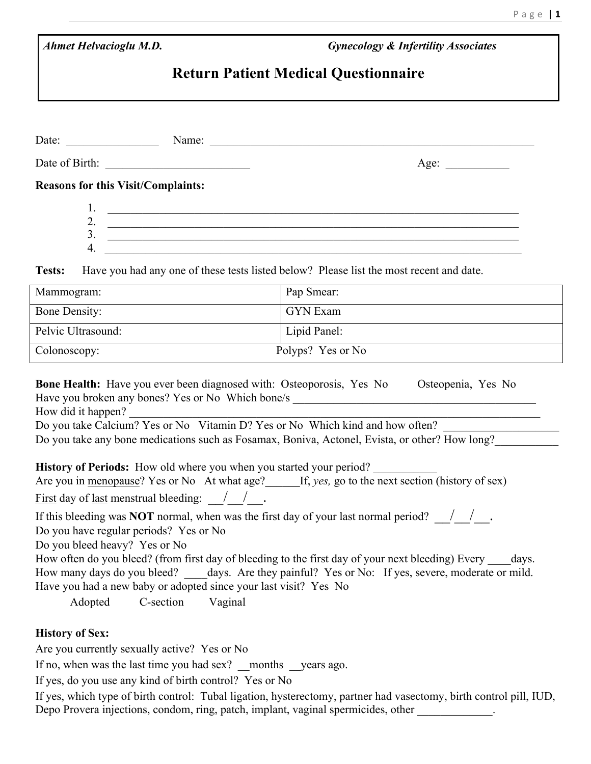| <b>Ahmet Helvacioglu M.D.</b> |  |  |  |  |  |
|-------------------------------|--|--|--|--|--|
|-------------------------------|--|--|--|--|--|

 *Ahmet Helvacioglu M.D. Gynecology & Infertility Associates* 

## **Return Patient Medical Questionnaire**

|                                   | Date: $\frac{1}{\sqrt{1-\frac{1}{2}} \cdot \frac{1}{2}}$                                                                                                                                                                                                                                                                                 | Name:                                                                                                                                                                                                                                                                                                                                                                                                                                                                                                                                                                                                                                                                                                      |
|-----------------------------------|------------------------------------------------------------------------------------------------------------------------------------------------------------------------------------------------------------------------------------------------------------------------------------------------------------------------------------------|------------------------------------------------------------------------------------------------------------------------------------------------------------------------------------------------------------------------------------------------------------------------------------------------------------------------------------------------------------------------------------------------------------------------------------------------------------------------------------------------------------------------------------------------------------------------------------------------------------------------------------------------------------------------------------------------------------|
|                                   | Date of Birth:                                                                                                                                                                                                                                                                                                                           | Age:                                                                                                                                                                                                                                                                                                                                                                                                                                                                                                                                                                                                                                                                                                       |
|                                   | <b>Reasons for this Visit/Complaints:</b>                                                                                                                                                                                                                                                                                                |                                                                                                                                                                                                                                                                                                                                                                                                                                                                                                                                                                                                                                                                                                            |
|                                   | 1.                                                                                                                                                                                                                                                                                                                                       |                                                                                                                                                                                                                                                                                                                                                                                                                                                                                                                                                                                                                                                                                                            |
|                                   |                                                                                                                                                                                                                                                                                                                                          | 2. $\overline{\phantom{a}}$                                                                                                                                                                                                                                                                                                                                                                                                                                                                                                                                                                                                                                                                                |
|                                   |                                                                                                                                                                                                                                                                                                                                          | $3. \ \ \frac{1}{2}$                                                                                                                                                                                                                                                                                                                                                                                                                                                                                                                                                                                                                                                                                       |
|                                   | 4.                                                                                                                                                                                                                                                                                                                                       | <u> 1989 - Johann Johann Stoff, deutscher Stoffen und der Stoffen und der Stoffen und der Stoffen und der Stoffen</u>                                                                                                                                                                                                                                                                                                                                                                                                                                                                                                                                                                                      |
| <b>Tests:</b>                     |                                                                                                                                                                                                                                                                                                                                          | Have you had any one of these tests listed below? Please list the most recent and date.                                                                                                                                                                                                                                                                                                                                                                                                                                                                                                                                                                                                                    |
| Mammogram:                        |                                                                                                                                                                                                                                                                                                                                          | Pap Smear:                                                                                                                                                                                                                                                                                                                                                                                                                                                                                                                                                                                                                                                                                                 |
| <b>Bone Density:</b>              |                                                                                                                                                                                                                                                                                                                                          | <b>GYN</b> Exam                                                                                                                                                                                                                                                                                                                                                                                                                                                                                                                                                                                                                                                                                            |
| Pelvic Ultrasound:                |                                                                                                                                                                                                                                                                                                                                          | Lipid Panel:                                                                                                                                                                                                                                                                                                                                                                                                                                                                                                                                                                                                                                                                                               |
| Polyps? Yes or No<br>Colonoscopy: |                                                                                                                                                                                                                                                                                                                                          |                                                                                                                                                                                                                                                                                                                                                                                                                                                                                                                                                                                                                                                                                                            |
| How did it happen?                | <b>History of Periods:</b> How old where you when you started your period?<br><u>First</u> day of <u>last</u> menstrual bleeding: $\frac{1}{\sqrt{2}}$<br>Do you have regular periods? Yes or No<br>Do you bleed heavy? Yes or No<br>Have you had a new baby or adopted since your last visit? Yes No<br>C-section<br>Vaginal<br>Adopted | Have you broken any bones? Yes or No Which bone/s _______________________________<br>Do you take Calcium? Yes or No Vitamin D? Yes or No Which kind and how often?<br>Do you take any bone medications such as Fosamax, Boniva, Actonel, Evista, or other? How long?<br>Are you in menopause? Yes or No At what age? If, yes, go to the next section (history of sex)<br>If this bleeding was <b>NOT</b> normal, when was the first day of your last normal period? $\sqrt{ }$ .<br>How often do you bleed? (from first day of bleeding to the first day of your next bleeding) Every<br>days.<br>How many days do you bleed? _______ days. Are they painful? Yes or No: If yes, severe, moderate or mild. |
| <b>History of Sex:</b>            | Are you currently sexually active? Yes or No<br>If no, when was the last time you had sex? months years ago.<br>If yes, do you use any kind of birth control? Yes or No                                                                                                                                                                  | If yes, which type of birth control: Tubal ligation, hysterectomy, partner had vasectomy, birth control pill, IUD,                                                                                                                                                                                                                                                                                                                                                                                                                                                                                                                                                                                         |

Depo Provera injections, condom, ring, patch, implant, vaginal spermicides, other \_\_\_\_\_\_\_\_\_\_\_\_\_.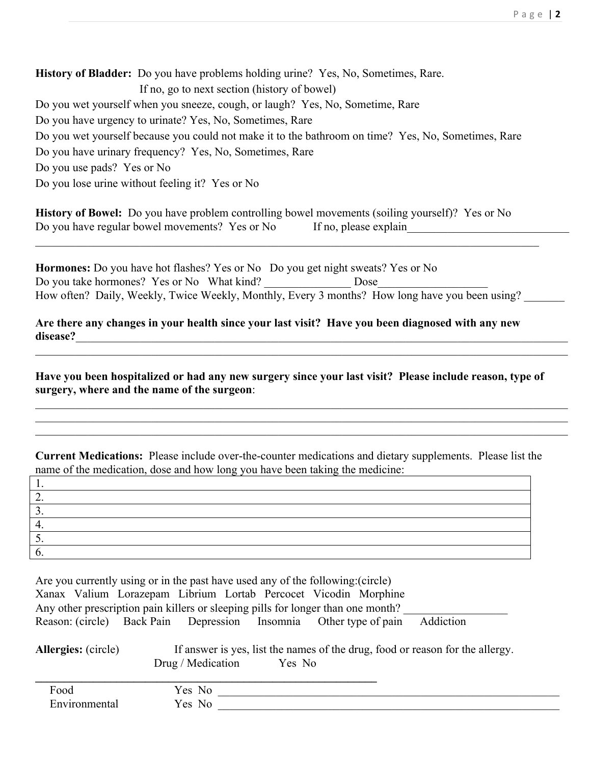**History of Bladder:** Do you have problems holding urine? Yes, No, Sometimes, Rare. If no, go to next section (history of bowel) Do you wet yourself when you sneeze, cough, or laugh? Yes, No, Sometime, Rare Do you have urgency to urinate? Yes, No, Sometimes, Rare Do you wet yourself because you could not make it to the bathroom on time? Yes, No, Sometimes, Rare Do you have urinary frequency? Yes, No, Sometimes, Rare Do you use pads? Yes or No Do you lose urine without feeling it? Yes or No

**History of Bowel:** Do you have problem controlling bowel movements (soiling yourself)? Yes or No Do you have regular bowel movements? Yes or No If no, please explain

**Hormones:** Do you have hot flashes? Yes or No Do you get night sweats? Yes or No Do you take hormones? Yes or No What kind? Dose How often? Daily, Weekly, Twice Weekly, Monthly, Every 3 months? How long have you been using?

 $\_$  , and the contribution of the contribution of the contribution of the contribution of  $\mathcal{L}_\text{max}$ 

**Are there any changes in your health since your last visit? Have you been diagnosed with any new disease?**\_\_\_\_\_\_\_\_\_\_\_\_\_\_\_\_\_\_\_\_\_\_\_\_\_\_\_\_\_\_\_\_\_\_\_\_\_\_\_\_\_\_\_\_\_\_\_\_\_\_\_\_\_\_\_\_\_\_\_\_\_\_\_\_\_\_\_\_\_\_\_\_\_\_\_\_\_\_\_\_\_\_\_\_\_

**Have you been hospitalized or had any new surgery since your last visit? Please include reason, type of surgery, where and the name of the surgeon**:

 $\_$  , and the contribution of the contribution of the contribution of the contribution of  $\mathcal{L}_\text{max}$ 

 $\_$  , and the contribution of the contribution of the contribution of the contribution of  $\mathcal{L}_\text{max}$  $\_$  , and the contribution of the contribution of the contribution of the contribution of  $\mathcal{L}_\text{max}$  $\mathcal{L}_\mathcal{L} = \mathcal{L}_\mathcal{L} = \mathcal{L}_\mathcal{L} = \mathcal{L}_\mathcal{L} = \mathcal{L}_\mathcal{L} = \mathcal{L}_\mathcal{L} = \mathcal{L}_\mathcal{L} = \mathcal{L}_\mathcal{L} = \mathcal{L}_\mathcal{L} = \mathcal{L}_\mathcal{L} = \mathcal{L}_\mathcal{L} = \mathcal{L}_\mathcal{L} = \mathcal{L}_\mathcal{L} = \mathcal{L}_\mathcal{L} = \mathcal{L}_\mathcal{L} = \mathcal{L}_\mathcal{L} = \mathcal{L}_\mathcal{L}$ 

**Current Medications:** Please include over-the-counter medications and dietary supplements. Please list the name of the medication, dose and how long you have been taking the medicine:

| $\tilde{\phantom{a}}$ |  |
|-----------------------|--|
|                       |  |

| Are you currently using or in the past have used any of the following: (circle)  |  |  |  |  |  |           |  |
|----------------------------------------------------------------------------------|--|--|--|--|--|-----------|--|
| Xanax Valium Lorazepam Librium Lortab Percocet Vicodin Morphine                  |  |  |  |  |  |           |  |
| Any other prescription pain killers or sleeping pills for longer than one month? |  |  |  |  |  |           |  |
| Reason: (circle) Back Pain Depression Insomnia Other type of pain                |  |  |  |  |  | Addiction |  |

Allergies: (circle) If answer is yes, list the names of the drug, food or reason for the allergy. Drug / Medication Yes No

| Food                  | Yes No |
|-----------------------|--------|
| $\Gamma$ nvironmental | Yes No |